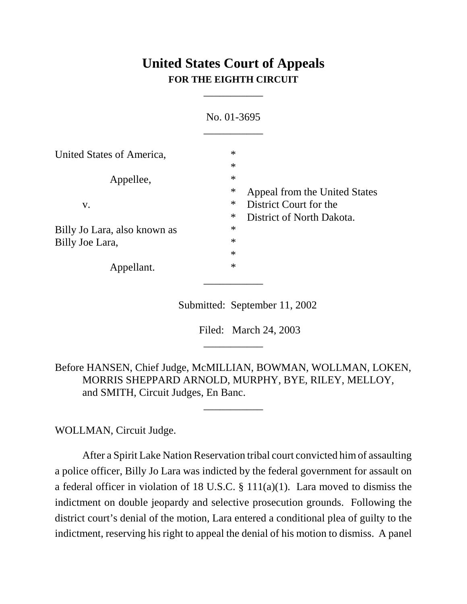# **United States Court of Appeals FOR THE EIGHTH CIRCUIT**

\_\_\_\_\_\_\_\_\_\_\_

|                                                 | No. 01-3695                                                             |                               |
|-------------------------------------------------|-------------------------------------------------------------------------|-------------------------------|
| United States of America,                       | $\ast$<br>$\ast$                                                        |                               |
| Appellee,                                       | $\ast$<br>$\ast$                                                        | Appeal from the United States |
| V.                                              | $\ast$<br>District Court for the<br>$\ast$<br>District of North Dakota. |                               |
| Billy Jo Lara, also known as<br>Billy Joe Lara, | $\ast$<br>$\ast$<br>$\ast$                                              |                               |
| Appellant.                                      | $\ast$                                                                  |                               |

Submitted: September 11, 2002

Filed: March 24, 2003

Before HANSEN, Chief Judge, McMILLIAN, BOWMAN, WOLLMAN, LOKEN, MORRIS SHEPPARD ARNOLD, MURPHY, BYE, RILEY, MELLOY, and SMITH, Circuit Judges, En Banc.

\_\_\_\_\_\_\_\_\_\_\_

\_\_\_\_\_\_\_\_\_\_\_

WOLLMAN, Circuit Judge.

After a Spirit Lake Nation Reservation tribal court convicted him of assaulting a police officer, Billy Jo Lara was indicted by the federal government for assault on a federal officer in violation of 18 U.S.C. § 111(a)(1). Lara moved to dismiss the indictment on double jeopardy and selective prosecution grounds. Following the district court's denial of the motion, Lara entered a conditional plea of guilty to the indictment, reserving his right to appeal the denial of his motion to dismiss. A panel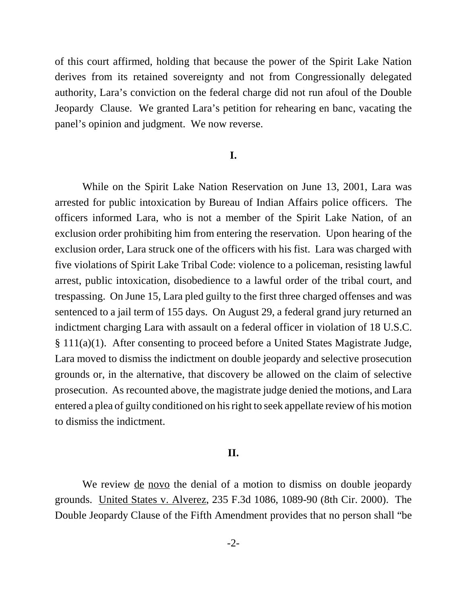of this court affirmed, holding that because the power of the Spirit Lake Nation derives from its retained sovereignty and not from Congressionally delegated authority, Lara's conviction on the federal charge did not run afoul of the Double Jeopardy Clause. We granted Lara's petition for rehearing en banc, vacating the panel's opinion and judgment. We now reverse.

#### **I.**

While on the Spirit Lake Nation Reservation on June 13, 2001, Lara was arrested for public intoxication by Bureau of Indian Affairs police officers. The officers informed Lara, who is not a member of the Spirit Lake Nation, of an exclusion order prohibiting him from entering the reservation. Upon hearing of the exclusion order, Lara struck one of the officers with his fist. Lara was charged with five violations of Spirit Lake Tribal Code: violence to a policeman, resisting lawful arrest, public intoxication, disobedience to a lawful order of the tribal court, and trespassing. On June 15, Lara pled guilty to the first three charged offenses and was sentenced to a jail term of 155 days. On August 29, a federal grand jury returned an indictment charging Lara with assault on a federal officer in violation of 18 U.S.C. § 111(a)(1). After consenting to proceed before a United States Magistrate Judge, Lara moved to dismiss the indictment on double jeopardy and selective prosecution grounds or, in the alternative, that discovery be allowed on the claim of selective prosecution. As recounted above, the magistrate judge denied the motions, and Lara entered a plea of guilty conditioned on his right to seek appellate review of his motion to dismiss the indictment.

#### **II.**

We review <u>de novo</u> the denial of a motion to dismiss on double jeopardy grounds. United States v. Alverez, 235 F.3d 1086, 1089-90 (8th Cir. 2000). The Double Jeopardy Clause of the Fifth Amendment provides that no person shall "be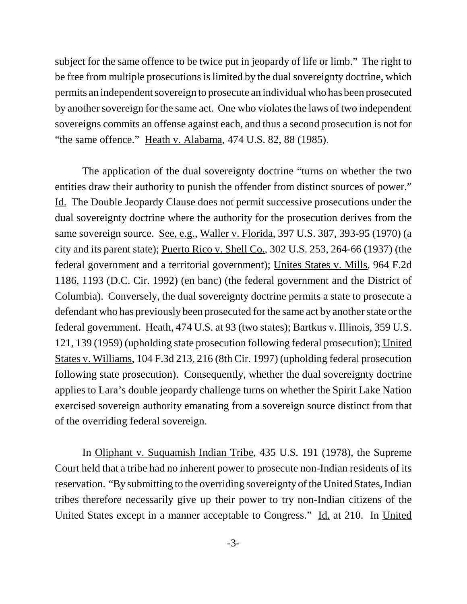subject for the same offence to be twice put in jeopardy of life or limb." The right to be free from multiple prosecutions is limited by the dual sovereignty doctrine, which permits an independent sovereign to prosecute an individual who has been prosecuted by another sovereign for the same act. One who violates the laws of two independent sovereigns commits an offense against each, and thus a second prosecution is not for "the same offence." Heath v. Alabama, 474 U.S. 82, 88 (1985).

The application of the dual sovereignty doctrine "turns on whether the two entities draw their authority to punish the offender from distinct sources of power." Id. The Double Jeopardy Clause does not permit successive prosecutions under the dual sovereignty doctrine where the authority for the prosecution derives from the same sovereign source. See, e.g., Waller v. Florida, 397 U.S. 387, 393-95 (1970) (a city and its parent state); Puerto Rico v. Shell Co., 302 U.S. 253, 264-66 (1937) (the federal government and a territorial government); Unites States v. Mills, 964 F.2d 1186, 1193 (D.C. Cir. 1992) (en banc) (the federal government and the District of Columbia). Conversely, the dual sovereignty doctrine permits a state to prosecute a defendant who has previously been prosecuted for the same act by another state or the federal government. Heath, 474 U.S. at 93 (two states); Bartkus v. Illinois, 359 U.S. 121, 139 (1959) (upholding state prosecution following federal prosecution); United States v. Williams, 104 F.3d 213, 216 (8th Cir. 1997) (upholding federal prosecution following state prosecution). Consequently, whether the dual sovereignty doctrine applies to Lara's double jeopardy challenge turns on whether the Spirit Lake Nation exercised sovereign authority emanating from a sovereign source distinct from that of the overriding federal sovereign.

In Oliphant v. Suquamish Indian Tribe, 435 U.S. 191 (1978), the Supreme Court held that a tribe had no inherent power to prosecute non-Indian residents of its reservation. "By submitting to the overriding sovereignty of the United States, Indian tribes therefore necessarily give up their power to try non-Indian citizens of the United States except in a manner acceptable to Congress." Id. at 210. In United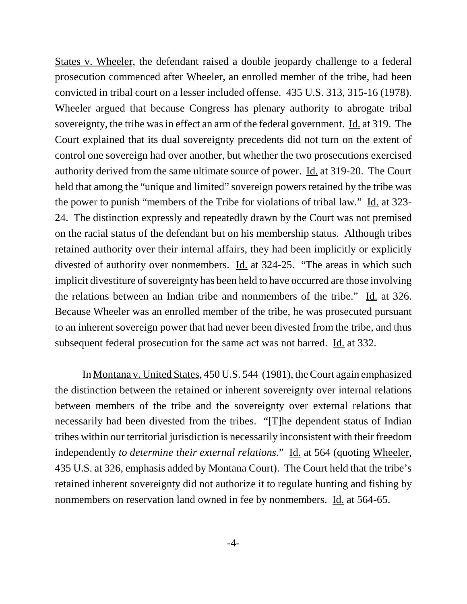States v. Wheeler, the defendant raised a double jeopardy challenge to a federal prosecution commenced after Wheeler, an enrolled member of the tribe, had been convicted in tribal court on a lesser included offense. 435 U.S. 313, 315-16 (1978). Wheeler argued that because Congress has plenary authority to abrogate tribal sovereignty, the tribe was in effect an arm of the federal government. Id. at 319. The Court explained that its dual sovereignty precedents did not turn on the extent of control one sovereign had over another, but whether the two prosecutions exercised authority derived from the same ultimate source of power. Id. at 319-20. The Court held that among the "unique and limited" sovereign powers retained by the tribe was the power to punish "members of the Tribe for violations of tribal law." Id. at 323- 24. The distinction expressly and repeatedly drawn by the Court was not premised on the racial status of the defendant but on his membership status. Although tribes retained authority over their internal affairs, they had been implicitly or explicitly divested of authority over nonmembers. Id. at 324-25. "The areas in which such implicit divestiture of sovereignty has been held to have occurred are those involving the relations between an Indian tribe and nonmembers of the tribe." Id. at 326. Because Wheeler was an enrolled member of the tribe, he was prosecuted pursuant to an inherent sovereign power that had never been divested from the tribe, and thus subsequent federal prosecution for the same act was not barred. <u>Id.</u> at 332.

In Montana v. United States, 450 U.S. 544 (1981), the Court again emphasized the distinction between the retained or inherent sovereignty over internal relations between members of the tribe and the sovereignty over external relations that necessarily had been divested from the tribes. "[T]he dependent status of Indian tribes within our territorial jurisdiction is necessarily inconsistent with their freedom independently *to determine their external relations*." Id. at 564 (quoting Wheeler, 435 U.S. at 326, emphasis added by Montana Court). The Court held that the tribe's retained inherent sovereignty did not authorize it to regulate hunting and fishing by nonmembers on reservation land owned in fee by nonmembers. Id. at 564-65.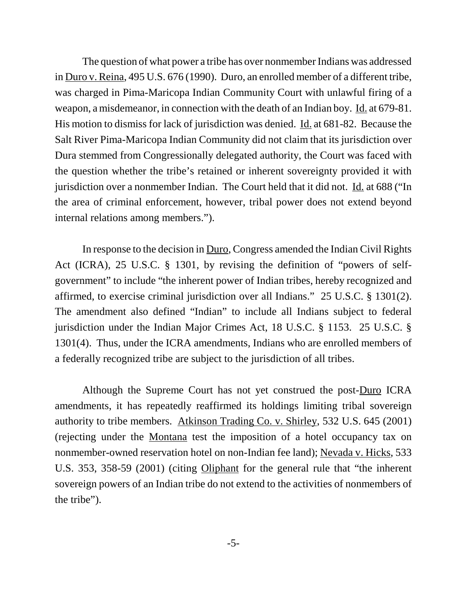The question of what power a tribe has over nonmember Indians was addressed in Duro v. Reina, 495 U.S. 676 (1990). Duro, an enrolled member of a different tribe, was charged in Pima-Maricopa Indian Community Court with unlawful firing of a weapon, a misdemeanor, in connection with the death of an Indian boy. Id. at 679-81. His motion to dismiss for lack of jurisdiction was denied. Id. at 681-82. Because the Salt River Pima-Maricopa Indian Community did not claim that its jurisdiction over Dura stemmed from Congressionally delegated authority, the Court was faced with the question whether the tribe's retained or inherent sovereignty provided it with jurisdiction over a nonmember Indian. The Court held that it did not. Id. at 688 ("In the area of criminal enforcement, however, tribal power does not extend beyond internal relations among members.").

In response to the decision in Duro, Congress amended the Indian Civil Rights Act (ICRA), 25 U.S.C. § 1301, by revising the definition of "powers of selfgovernment" to include "the inherent power of Indian tribes, hereby recognized and affirmed, to exercise criminal jurisdiction over all Indians." 25 U.S.C. § 1301(2). The amendment also defined "Indian" to include all Indians subject to federal jurisdiction under the Indian Major Crimes Act, 18 U.S.C. § 1153. 25 U.S.C. § 1301(4). Thus, under the ICRA amendments, Indians who are enrolled members of a federally recognized tribe are subject to the jurisdiction of all tribes.

Although the Supreme Court has not yet construed the post-Duro ICRA amendments, it has repeatedly reaffirmed its holdings limiting tribal sovereign authority to tribe members. Atkinson Trading Co. v. Shirley, 532 U.S. 645 (2001) (rejecting under the Montana test the imposition of a hotel occupancy tax on nonmember-owned reservation hotel on non-Indian fee land); Nevada v. Hicks, 533 U.S. 353, 358-59 (2001) (citing Oliphant for the general rule that "the inherent sovereign powers of an Indian tribe do not extend to the activities of nonmembers of the tribe").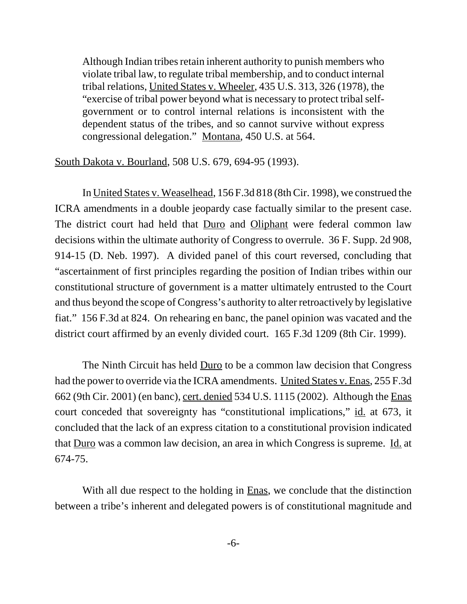Although Indian tribes retain inherent authority to punish members who violate tribal law, to regulate tribal membership, and to conduct internal tribal relations, United States v. Wheeler, 435 U.S. 313, 326 (1978), the "exercise of tribal power beyond what is necessary to protect tribal selfgovernment or to control internal relations is inconsistent with the dependent status of the tribes, and so cannot survive without express congressional delegation." Montana, 450 U.S. at 564.

South Dakota v. Bourland, 508 U.S. 679, 694-95 (1993).

In United States v. Weaselhead, 156 F.3d 818 (8th Cir. 1998), we construed the ICRA amendments in a double jeopardy case factually similar to the present case. The district court had held that Duro and Oliphant were federal common law decisions within the ultimate authority of Congress to overrule. 36 F. Supp. 2d 908, 914-15 (D. Neb. 1997). A divided panel of this court reversed, concluding that "ascertainment of first principles regarding the position of Indian tribes within our constitutional structure of government is a matter ultimately entrusted to the Court and thus beyond the scope of Congress's authority to alter retroactively by legislative fiat." 156 F.3d at 824. On rehearing en banc, the panel opinion was vacated and the district court affirmed by an evenly divided court. 165 F.3d 1209 (8th Cir. 1999).

The Ninth Circuit has held Duro to be a common law decision that Congress had the power to override via the ICRA amendments. United States v. Enas, 255 F.3d 662 (9th Cir. 2001) (en banc), cert. denied 534 U.S. 1115 (2002). Although the Enas court conceded that sovereignty has "constitutional implications," id. at 673, it concluded that the lack of an express citation to a constitutional provision indicated that <u>Duro</u> was a common law decision, an area in which Congress is supreme. <u>Id.</u> at 674-75.

With all due respect to the holding in Enas, we conclude that the distinction between a tribe's inherent and delegated powers is of constitutional magnitude and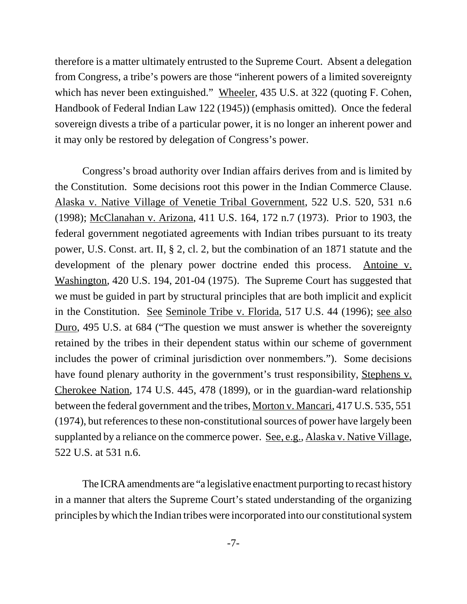therefore is a matter ultimately entrusted to the Supreme Court. Absent a delegation from Congress, a tribe's powers are those "inherent powers of a limited sovereignty which has never been extinguished." Wheeler, 435 U.S. at 322 (quoting F. Cohen, Handbook of Federal Indian Law 122 (1945)) (emphasis omitted). Once the federal sovereign divests a tribe of a particular power, it is no longer an inherent power and it may only be restored by delegation of Congress's power.

Congress's broad authority over Indian affairs derives from and is limited by the Constitution. Some decisions root this power in the Indian Commerce Clause. Alaska v. Native Village of Venetie Tribal Government, 522 U.S. 520, 531 n.6 (1998); McClanahan v. Arizona, 411 U.S. 164, 172 n.7 (1973). Prior to 1903, the federal government negotiated agreements with Indian tribes pursuant to its treaty power, U.S. Const. art. II, § 2, cl. 2, but the combination of an 1871 statute and the development of the plenary power doctrine ended this process. Antoine v. Washington, 420 U.S. 194, 201-04 (1975). The Supreme Court has suggested that we must be guided in part by structural principles that are both implicit and explicit in the Constitution. See Seminole Tribe v. Florida, 517 U.S. 44 (1996); see also Duro, 495 U.S. at 684 ("The question we must answer is whether the sovereignty retained by the tribes in their dependent status within our scheme of government includes the power of criminal jurisdiction over nonmembers."). Some decisions have found plenary authority in the government's trust responsibility, Stephens v. Cherokee Nation, 174 U.S. 445, 478 (1899), or in the guardian-ward relationship between the federal government and the tribes, Morton v. Mancari, 417 U.S. 535, 551 (1974), but references to these non-constitutional sources of power have largely been supplanted by a reliance on the commerce power. See, e.g., Alaska v. Native Village, 522 U.S. at 531 n.6.

The ICRA amendments are "a legislative enactment purporting to recast history in a manner that alters the Supreme Court's stated understanding of the organizing principles by which the Indian tribes were incorporated into our constitutional system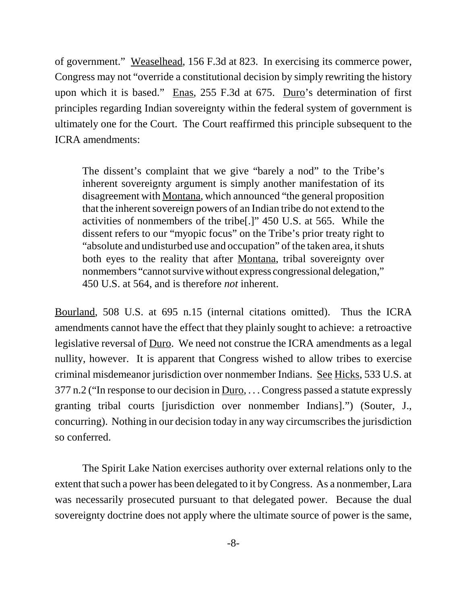of government." Weaselhead, 156 F.3d at 823. In exercising its commerce power, Congress may not "override a constitutional decision by simply rewriting the history upon which it is based." Enas, 255 F.3d at 675. Duro's determination of first principles regarding Indian sovereignty within the federal system of government is ultimately one for the Court. The Court reaffirmed this principle subsequent to the ICRA amendments:

The dissent's complaint that we give "barely a nod" to the Tribe's inherent sovereignty argument is simply another manifestation of its disagreement with Montana, which announced "the general proposition that the inherent sovereign powers of an Indian tribe do not extend to the activities of nonmembers of the tribe[.]" 450 U.S. at 565. While the dissent refers to our "myopic focus" on the Tribe's prior treaty right to "absolute and undisturbed use and occupation" of the taken area, it shuts both eyes to the reality that after Montana, tribal sovereignty over nonmembers "cannot survive without express congressional delegation," 450 U.S. at 564, and is therefore *not* inherent.

Bourland, 508 U.S. at 695 n.15 (internal citations omitted). Thus the ICRA amendments cannot have the effect that they plainly sought to achieve: a retroactive legislative reversal of <u>Duro</u>. We need not construe the ICRA amendments as a legal nullity, however. It is apparent that Congress wished to allow tribes to exercise criminal misdemeanor jurisdiction over nonmember Indians. See Hicks, 533 U.S. at  $377$  n.2 ("In response to our decision in <u>Duro,</u>... Congress passed a statute expressly granting tribal courts [jurisdiction over nonmember Indians].") (Souter, J., concurring). Nothing in our decision today in any way circumscribes the jurisdiction so conferred.

The Spirit Lake Nation exercises authority over external relations only to the extent that such a power has been delegated to it by Congress. As a nonmember, Lara was necessarily prosecuted pursuant to that delegated power. Because the dual sovereignty doctrine does not apply where the ultimate source of power is the same,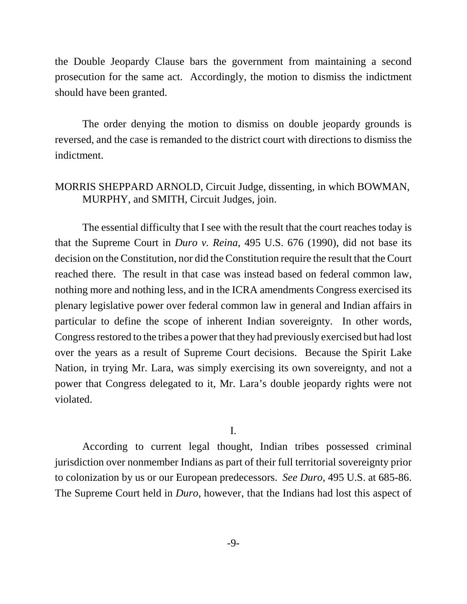the Double Jeopardy Clause bars the government from maintaining a second prosecution for the same act. Accordingly, the motion to dismiss the indictment should have been granted.

The order denying the motion to dismiss on double jeopardy grounds is reversed, and the case is remanded to the district court with directions to dismiss the indictment.

### MORRIS SHEPPARD ARNOLD, Circuit Judge, dissenting, in which BOWMAN, MURPHY, and SMITH, Circuit Judges, join.

The essential difficulty that I see with the result that the court reaches today is that the Supreme Court in *Duro v. Reina*, 495 U.S. 676 (1990), did not base its decision on the Constitution, nor did the Constitution require the result that the Court reached there. The result in that case was instead based on federal common law, nothing more and nothing less, and in the ICRA amendments Congress exercised its plenary legislative power over federal common law in general and Indian affairs in particular to define the scope of inherent Indian sovereignty. In other words, Congress restored to the tribes a power that they had previously exercised but had lost over the years as a result of Supreme Court decisions. Because the Spirit Lake Nation, in trying Mr. Lara, was simply exercising its own sovereignty, and not a power that Congress delegated to it, Mr. Lara's double jeopardy rights were not violated.

#### I.

According to current legal thought, Indian tribes possessed criminal jurisdiction over nonmember Indians as part of their full territorial sovereignty prior to colonization by us or our European predecessors. *See Duro*, 495 U.S. at 685-86. The Supreme Court held in *Duro*, however, that the Indians had lost this aspect of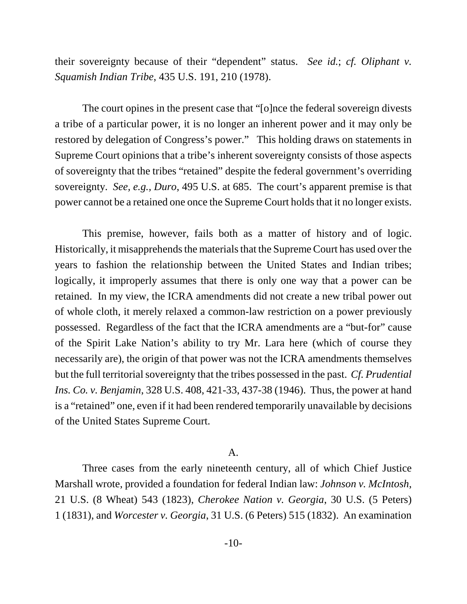their sovereignty because of their "dependent" status. *See id.*; *cf. Oliphant v. Squamish Indian Tribe*, 435 U.S. 191, 210 (1978).

The court opines in the present case that "[o]nce the federal sovereign divests a tribe of a particular power, it is no longer an inherent power and it may only be restored by delegation of Congress's power." This holding draws on statements in Supreme Court opinions that a tribe's inherent sovereignty consists of those aspects of sovereignty that the tribes "retained" despite the federal government's overriding sovereignty. *See, e.g., Duro*, 495 U.S. at 685. The court's apparent premise is that power cannot be a retained one once the Supreme Court holds that it no longer exists.

This premise, however, fails both as a matter of history and of logic. Historically, it misapprehends the materials that the Supreme Court has used over the years to fashion the relationship between the United States and Indian tribes; logically, it improperly assumes that there is only one way that a power can be retained. In my view, the ICRA amendments did not create a new tribal power out of whole cloth, it merely relaxed a common-law restriction on a power previously possessed. Regardless of the fact that the ICRA amendments are a "but-for" cause of the Spirit Lake Nation's ability to try Mr. Lara here (which of course they necessarily are), the origin of that power was not the ICRA amendments themselves but the full territorial sovereignty that the tribes possessed in the past. *Cf. Prudential Ins. Co. v. Benjamin*, 328 U.S. 408, 421-33, 437-38 (1946). Thus, the power at hand is a "retained" one, even if it had been rendered temporarily unavailable by decisions of the United States Supreme Court.

A.

Three cases from the early nineteenth century, all of which Chief Justice Marshall wrote, provided a foundation for federal Indian law: *Johnson v. McIntosh*, 21 U.S. (8 Wheat) 543 (1823), *Cherokee Nation v. Georgia*, 30 U.S. (5 Peters) 1 (1831), and *Worcester v. Georgia*, 31 U.S. (6 Peters) 515 (1832). An examination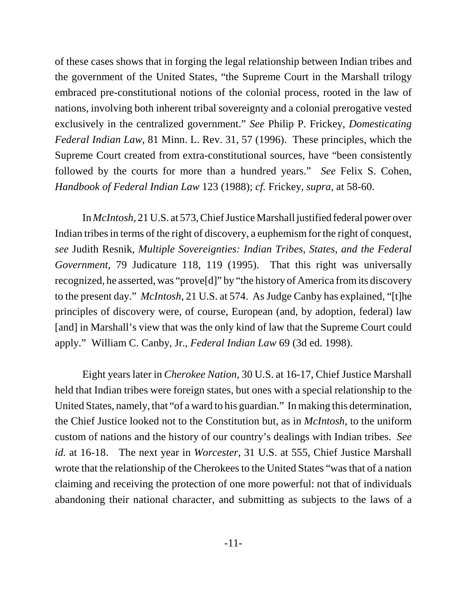of these cases shows that in forging the legal relationship between Indian tribes and the government of the United States, "the Supreme Court in the Marshall trilogy embraced pre-constitutional notions of the colonial process, rooted in the law of nations, involving both inherent tribal sovereignty and a colonial prerogative vested exclusively in the centralized government." *See* Philip P. Frickey, *Domesticating Federal Indian Law*, 81 Minn. L. Rev. 31, 57 (1996). These principles, which the Supreme Court created from extra-constitutional sources, have "been consistently followed by the courts for more than a hundred years." *See* Felix S. Cohen, *Handbook of Federal Indian Law* 123 (1988); *cf.* Frickey, *supra*, at 58-60.

In *McIntosh*, 21 U.S. at 573, Chief Justice Marshall justified federal power over Indian tribes in terms of the right of discovery, a euphemism for the right of conquest, *see* Judith Resnik, *Multiple Sovereignties: Indian Tribes, States, and the Federal Government*, 79 Judicature 118, 119 (1995). That this right was universally recognized, he asserted, was "prove[d]" by "the history of America from its discovery to the present day." *McIntosh*, 21 U.S. at 574. As Judge Canby has explained, "[t]he principles of discovery were, of course, European (and, by adoption, federal) law [and] in Marshall's view that was the only kind of law that the Supreme Court could apply." William C. Canby, Jr., *Federal Indian Law* 69 (3d ed. 1998).

Eight years later in *Cherokee Nation*, 30 U.S. at 16-17, Chief Justice Marshall held that Indian tribes were foreign states, but ones with a special relationship to the United States, namely, that "of a ward to his guardian." In making this determination, the Chief Justice looked not to the Constitution but, as in *McIntosh*, to the uniform custom of nations and the history of our country's dealings with Indian tribes. *See id.* at 16-18. The next year in *Worcester*, 31 U.S. at 555, Chief Justice Marshall wrote that the relationship of the Cherokees to the United States "was that of a nation claiming and receiving the protection of one more powerful: not that of individuals abandoning their national character, and submitting as subjects to the laws of a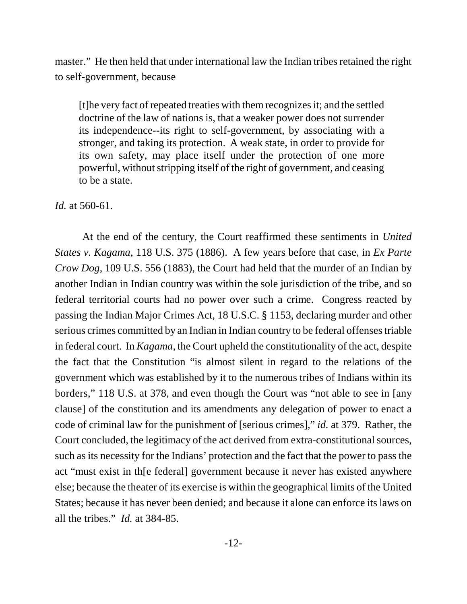master." He then held that under international law the Indian tribes retained the right to self-government, because

[t]he very fact of repeated treaties with them recognizes it; and the settled doctrine of the law of nations is, that a weaker power does not surrender its independence--its right to self-government, by associating with a stronger, and taking its protection. A weak state, in order to provide for its own safety, may place itself under the protection of one more powerful, without stripping itself of the right of government, and ceasing to be a state.

*Id.* at 560-61.

At the end of the century, the Court reaffirmed these sentiments in *United States v. Kagama*, 118 U.S. 375 (1886). A few years before that case, in *Ex Parte Crow Dog*, 109 U.S. 556 (1883), the Court had held that the murder of an Indian by another Indian in Indian country was within the sole jurisdiction of the tribe, and so federal territorial courts had no power over such a crime. Congress reacted by passing the Indian Major Crimes Act, 18 U.S.C. § 1153, declaring murder and other serious crimes committed by an Indian in Indian country to be federal offenses triable in federal court. In *Kagama*, the Court upheld the constitutionality of the act, despite the fact that the Constitution "is almost silent in regard to the relations of the government which was established by it to the numerous tribes of Indians within its borders," 118 U.S. at 378, and even though the Court was "not able to see in [any clause] of the constitution and its amendments any delegation of power to enact a code of criminal law for the punishment of [serious crimes]," *id.* at 379. Rather, the Court concluded, the legitimacy of the act derived from extra-constitutional sources, such as its necessity for the Indians' protection and the fact that the power to pass the act "must exist in th[e federal] government because it never has existed anywhere else; because the theater of its exercise is within the geographical limits of the United States; because it has never been denied; and because it alone can enforce its laws on all the tribes." *Id.* at 384-85.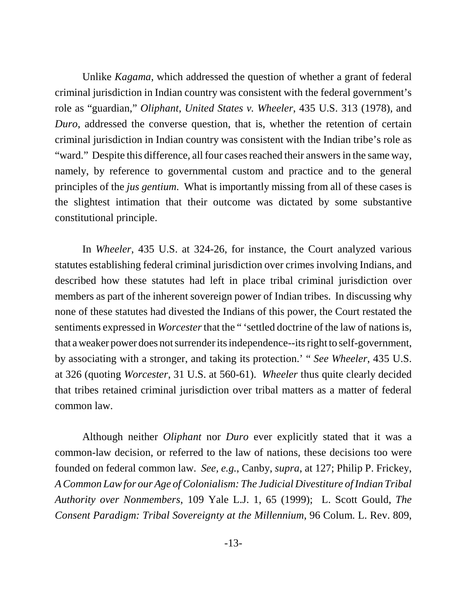Unlike *Kagama*, which addressed the question of whether a grant of federal criminal jurisdiction in Indian country was consistent with the federal government's role as "guardian," *Oliphant*, *United States v. Wheeler*, 435 U.S. 313 (1978), and *Duro*, addressed the converse question, that is, whether the retention of certain criminal jurisdiction in Indian country was consistent with the Indian tribe's role as "ward." Despite this difference, all four cases reached their answers in the same way, namely, by reference to governmental custom and practice and to the general principles of the *jus gentium*. What is importantly missing from all of these cases is the slightest intimation that their outcome was dictated by some substantive constitutional principle.

In *Wheeler*, 435 U.S. at 324-26, for instance, the Court analyzed various statutes establishing federal criminal jurisdiction over crimes involving Indians, and described how these statutes had left in place tribal criminal jurisdiction over members as part of the inherent sovereign power of Indian tribes. In discussing why none of these statutes had divested the Indians of this power, the Court restated the sentiments expressed in *Worcester* that the " 'settled doctrine of the law of nations is, that a weaker power does not surrender its independence--its right to self-government, by associating with a stronger, and taking its protection.' " *See Wheeler*, 435 U.S. at 326 (quoting *Worcester*, 31 U.S. at 560-61). *Wheeler* thus quite clearly decided that tribes retained criminal jurisdiction over tribal matters as a matter of federal common law.

Although neither *Oliphant* nor *Duro* ever explicitly stated that it was a common-law decision, or referred to the law of nations, these decisions too were founded on federal common law. *See, e.g.*, Canby, *supra*, at 127; Philip P. Frickey, *A Common Law for our Age of Colonialism: The Judicial Divestiture of Indian Tribal Authority over Nonmembers*, 109 Yale L.J. 1, 65 (1999); L. Scott Gould, *The Consent Paradigm: Tribal Sovereignty at the Millennium*, 96 Colum. L. Rev. 809,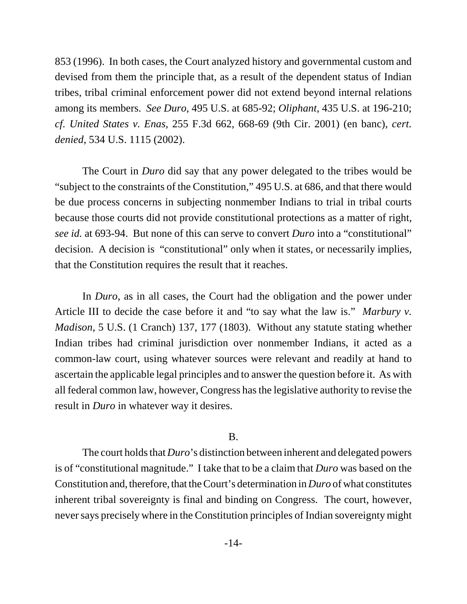853 (1996). In both cases, the Court analyzed history and governmental custom and devised from them the principle that, as a result of the dependent status of Indian tribes, tribal criminal enforcement power did not extend beyond internal relations among its members. *See Duro*, 495 U.S. at 685-92; *Oliphant*, 435 U.S. at 196-210; *cf. United States v. Enas*, 255 F.3d 662, 668-69 (9th Cir. 2001) (en banc), *cert. denied*, 534 U.S. 1115 (2002).

The Court in *Duro* did say that any power delegated to the tribes would be "subject to the constraints of the Constitution," 495 U.S. at 686, and that there would be due process concerns in subjecting nonmember Indians to trial in tribal courts because those courts did not provide constitutional protections as a matter of right, *see id.* at 693-94. But none of this can serve to convert *Duro* into a "constitutional" decision. A decision is "constitutional" only when it states, or necessarily implies, that the Constitution requires the result that it reaches.

In *Duro*, as in all cases, the Court had the obligation and the power under Article III to decide the case before it and "to say what the law is." *Marbury v. Madison*, 5 U.S. (1 Cranch) 137, 177 (1803). Without any statute stating whether Indian tribes had criminal jurisdiction over nonmember Indians, it acted as a common-law court, using whatever sources were relevant and readily at hand to ascertain the applicable legal principles and to answer the question before it. As with all federal common law, however, Congress has the legislative authority to revise the result in *Duro* in whatever way it desires.

#### B.

The court holds that *Duro*'s distinction between inherent and delegated powers is of "constitutional magnitude." I take that to be a claim that *Duro* was based on the Constitution and, therefore, that the Court's determination in *Duro* of what constitutes inherent tribal sovereignty is final and binding on Congress. The court, however, never says precisely where in the Constitution principles of Indian sovereignty might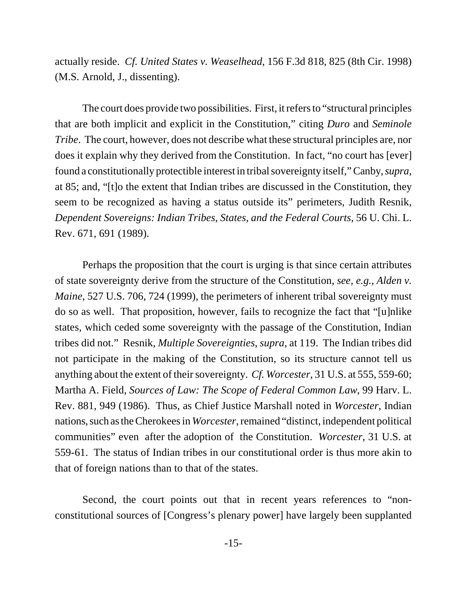actually reside. *Cf. United States v. Weaselhead*, 156 F.3d 818, 825 (8th Cir. 1998) (M.S. Arnold, J., dissenting).

The court does provide two possibilities. First, it refers to "structural principles that are both implicit and explicit in the Constitution," citing *Duro* and *Seminole Tribe*. The court, however, does not describe what these structural principles are, nor does it explain why they derived from the Constitution. In fact, "no court has [ever] found a constitutionally protectible interest in tribal sovereignty itself," Canby, *supra*, at 85; and, "[t]o the extent that Indian tribes are discussed in the Constitution, they seem to be recognized as having a status outside its" perimeters, Judith Resnik, *Dependent Sovereigns: Indian Tribes, States, and the Federal Courts*, 56 U. Chi. L. Rev. 671, 691 (1989).

Perhaps the proposition that the court is urging is that since certain attributes of state sovereignty derive from the structure of the Constitution, *see, e.g.*, *Alden v. Maine*, 527 U.S. 706, 724 (1999), the perimeters of inherent tribal sovereignty must do so as well. That proposition, however, fails to recognize the fact that "[u]nlike states, which ceded some sovereignty with the passage of the Constitution, Indian tribes did not." Resnik, *Multiple Sovereignties*, *supra*, at 119. The Indian tribes did not participate in the making of the Constitution, so its structure cannot tell us anything about the extent of their sovereignty. *Cf. Worcester*, 31 U.S. at 555, 559-60; Martha A. Field, *Sources of Law: The Scope of Federal Common Law*, 99 Harv. L. Rev. 881, 949 (1986). Thus, as Chief Justice Marshall noted in *Worcester*, Indian nations, such as the Cherokees in *Worcester*, remained "distinct, independent political communities" even after the adoption of the Constitution. *Worcester*, 31 U.S. at 559-61. The status of Indian tribes in our constitutional order is thus more akin to that of foreign nations than to that of the states.

Second, the court points out that in recent years references to "nonconstitutional sources of [Congress's plenary power] have largely been supplanted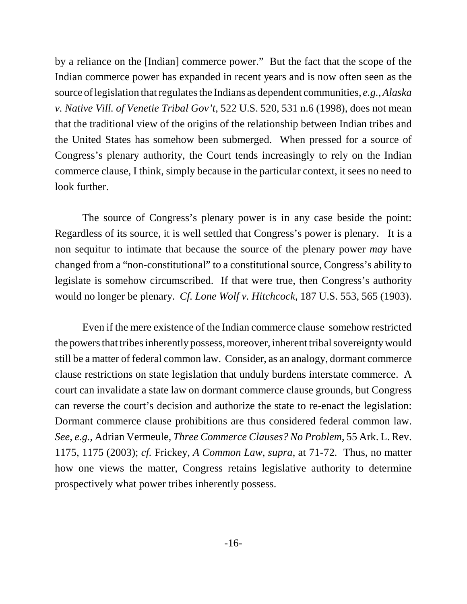by a reliance on the [Indian] commerce power." But the fact that the scope of the Indian commerce power has expanded in recent years and is now often seen as the source of legislation that regulates the Indians as dependent communities, *e.g.*, *Alaska v. Native Vill. of Venetie Tribal Gov't*, 522 U.S. 520, 531 n.6 (1998), does not mean that the traditional view of the origins of the relationship between Indian tribes and the United States has somehow been submerged. When pressed for a source of Congress's plenary authority, the Court tends increasingly to rely on the Indian commerce clause, I think, simply because in the particular context, it sees no need to look further.

The source of Congress's plenary power is in any case beside the point: Regardless of its source, it is well settled that Congress's power is plenary. It is a non sequitur to intimate that because the source of the plenary power *may* have changed from a "non-constitutional" to a constitutional source, Congress's ability to legislate is somehow circumscribed. If that were true, then Congress's authority would no longer be plenary. *Cf. Lone Wolf v. Hitchcock*, 187 U.S. 553, 565 (1903).

Even if the mere existence of the Indian commerce clause somehow restricted the powers that tribes inherently possess, moreover, inherent tribal sovereignty would still be a matter of federal common law. Consider, as an analogy, dormant commerce clause restrictions on state legislation that unduly burdens interstate commerce. A court can invalidate a state law on dormant commerce clause grounds, but Congress can reverse the court's decision and authorize the state to re-enact the legislation: Dormant commerce clause prohibitions are thus considered federal common law. *See, e.g.*, Adrian Vermeule, *Three Commerce Clauses? No Problem*, 55 Ark. L. Rev. 1175, 1175 (2003); *cf.* Frickey, *A Common Law*, *supra*, at 71-72*.* Thus, no matter how one views the matter, Congress retains legislative authority to determine prospectively what power tribes inherently possess.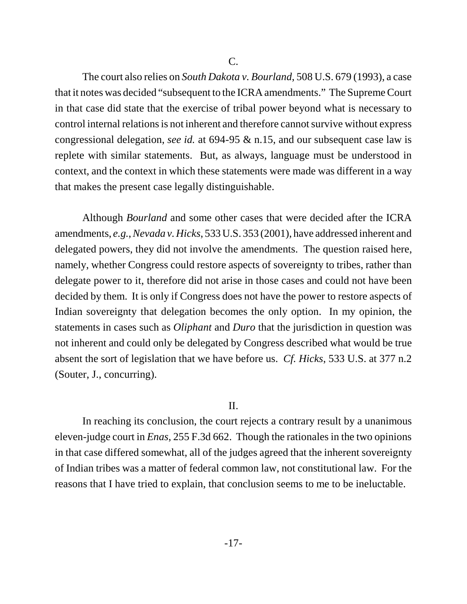The court also relies on *South Dakota v. Bourland*, 508 U.S. 679 (1993), a case that it notes was decided "subsequent to the ICRA amendments." The Supreme Court in that case did state that the exercise of tribal power beyond what is necessary to control internal relations is not inherent and therefore cannot survive without express congressional delegation, *see id.* at 694-95 & n.15, and our subsequent case law is replete with similar statements. But, as always, language must be understood in context, and the context in which these statements were made was different in a way that makes the present case legally distinguishable.

Although *Bourland* and some other cases that were decided after the ICRA amendments, *e.g.*, *Nevada v. Hicks*, 533 U.S. 353 (2001), have addressed inherent and delegated powers, they did not involve the amendments. The question raised here, namely, whether Congress could restore aspects of sovereignty to tribes, rather than delegate power to it, therefore did not arise in those cases and could not have been decided by them. It is only if Congress does not have the power to restore aspects of Indian sovereignty that delegation becomes the only option. In my opinion, the statements in cases such as *Oliphant* and *Duro* that the jurisdiction in question was not inherent and could only be delegated by Congress described what would be true absent the sort of legislation that we have before us. *Cf. Hicks*, 533 U.S. at 377 n.2 (Souter, J., concurring).

#### II.

In reaching its conclusion, the court rejects a contrary result by a unanimous eleven-judge court in *Enas*, 255 F.3d 662. Though the rationales in the two opinions in that case differed somewhat, all of the judges agreed that the inherent sovereignty of Indian tribes was a matter of federal common law, not constitutional law. For the reasons that I have tried to explain, that conclusion seems to me to be ineluctable.